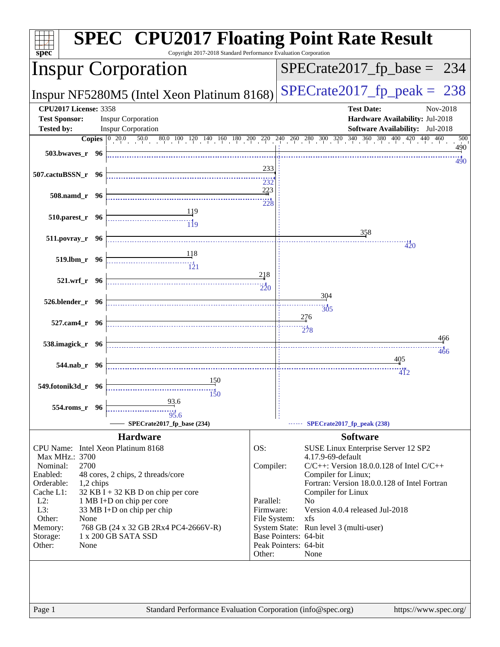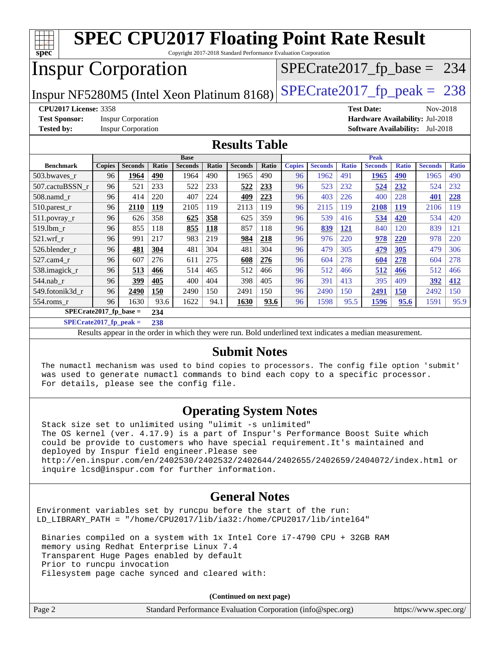| <b>SPEC CPU2017 Floating Point Rate Result</b><br>$s\overline{p}\overline{e}\overline{c}$<br>Copyright 2017-2018 Standard Performance Evaluation Corporation |               |                           |       |                |              |                |       |               |                |              |                               |              |                |              |
|--------------------------------------------------------------------------------------------------------------------------------------------------------------|---------------|---------------------------|-------|----------------|--------------|----------------|-------|---------------|----------------|--------------|-------------------------------|--------------|----------------|--------------|
| <b>Inspur Corporation</b><br>$SPECrate2017_fp\_base = 234$                                                                                                   |               |                           |       |                |              |                |       |               |                |              |                               |              |                |              |
| $SPECTate2017$ _fp_peak = 238<br>Inspur NF5280M5 (Intel Xeon Platinum 8168)                                                                                  |               |                           |       |                |              |                |       |               |                |              |                               |              |                |              |
| <b>CPU2017 License: 3358</b>                                                                                                                                 |               |                           |       |                |              |                |       |               |                |              | <b>Test Date:</b>             |              | Nov-2018       |              |
| <b>Test Sponsor:</b><br><b>Inspur Corporation</b><br>Hardware Availability: Jul-2018                                                                         |               |                           |       |                |              |                |       |               |                |              |                               |              |                |              |
| <b>Tested by:</b>                                                                                                                                            |               | <b>Inspur Corporation</b> |       |                |              |                |       |               |                |              | <b>Software Availability:</b> |              | Jul-2018       |              |
| <b>Results Table</b>                                                                                                                                         |               |                           |       |                |              |                |       |               |                |              |                               |              |                |              |
| <b>Base</b>                                                                                                                                                  |               |                           |       |                |              |                |       |               | <b>Peak</b>    |              |                               |              |                |              |
| <b>Benchmark</b>                                                                                                                                             | <b>Copies</b> | <b>Seconds</b>            | Ratio | <b>Seconds</b> | <b>Ratio</b> | <b>Seconds</b> | Ratio | <b>Copies</b> | <b>Seconds</b> | <b>Ratio</b> | <b>Seconds</b>                | <b>Ratio</b> | <b>Seconds</b> | <b>Ratio</b> |
| 503.bwaves_r                                                                                                                                                 | 96            | 1964                      | 490   | 1964           | 490          | 1965           | 490   | 96            | 1962           | 491          | 1965                          | 490          | 1965           | 490          |
| 507.cactuBSSN_r                                                                                                                                              | 96            | 521                       | 233   | 522            | 233          | 522            | 233   | 96            | 523            | 232          | 524                           | 232          | 524            | 232          |
| 508.namd_r                                                                                                                                                   | 96            | 414                       | 220   | 407            | 224          | 409            | 223   | 96            | 403            | 226          | 400                           | 228          | 401            | 228          |
| $510$ .parest r                                                                                                                                              | 96            | 2110                      | 119   | 2105           | 119          | 2113           | 119   | 96            | 2115           | 119          | 2108                          | <b>119</b>   | 2106           | 119          |
| 511.povray_r                                                                                                                                                 | 96            | 626                       | 358   | 625            | 358          | 625            | 359   | 96            | 539            | 416          | 534                           | 420          | 534            | 420          |
| 519.lbm r                                                                                                                                                    | 96            | 855                       | 118   | 855            | 118          | 857            | 118   | 96            | 839            | 121          | 840                           | 120          | 839            | 121          |
| $521$ .wrf r                                                                                                                                                 | 96            | 991                       | 217   | 983            | 219          | 984            | 218   | 96            | 976            | 220          | 978                           | 220          | 978            | 220          |
| 526.blender r                                                                                                                                                | 96            | 481                       | 304   | 481            | 304          | 481            | 304   | 96            | 479            | 305          | 479                           | 305          | 479            | 306          |
| 527.cam4_r                                                                                                                                                   | 96            | 607                       | 276   | 611            | 275          | 608            | 276   | 96            | 604            | 278          | 604                           | 278          | 604            | 278          |
| 538.imagick_r                                                                                                                                                | 96            | 513                       | 466   | 514            | 465          | 512            | 466   | 96            | 512            | 466          | 512                           | 466          | 512            | 466          |
| $544$ .nab r                                                                                                                                                 | 96            | 399                       | 405   | 400            | 404          | 398            | 405   | 96            | 391            | 413          | 395                           | 409          | 392            | 412          |
| 549.fotonik3d r                                                                                                                                              | 96            | 2490                      | 150   | 2490           | 150          | 2491           | 150   | 96            | 2490           | 150          | 2491                          | 150          | 2492           | 150          |
| 554.roms r                                                                                                                                                   | 96            | 1630                      | 93.6  | 1622           | 94.1         | 1630           | 93.6  | 96            | 1598           | 95.5         | 1596                          | 95.6         | 1591           | 95.9         |
| $SPECrate2017_fp\_base =$                                                                                                                                    |               |                           | 234   |                |              |                |       |               |                |              |                               |              |                |              |
| $SPECrate2017_fp_peak =$                                                                                                                                     |               |                           | 238   |                |              |                |       |               |                |              |                               |              |                |              |

Results appear in the [order in which they were run.](http://www.spec.org/auto/cpu2017/Docs/result-fields.html#RunOrder) Bold underlined text [indicates a median measurement.](http://www.spec.org/auto/cpu2017/Docs/result-fields.html#Median)

#### **[Submit Notes](http://www.spec.org/auto/cpu2017/Docs/result-fields.html#SubmitNotes)**

 The numactl mechanism was used to bind copies to processors. The config file option 'submit' was used to generate numactl commands to bind each copy to a specific processor. For details, please see the config file.

#### **[Operating System Notes](http://www.spec.org/auto/cpu2017/Docs/result-fields.html#OperatingSystemNotes)**

 Stack size set to unlimited using "ulimit -s unlimited" The OS kernel (ver. 4.17.9) is a part of Inspur's Performance Boost Suite which could be provide to customers who have special requirement.It's maintained and deployed by Inspur field engineer.Please see <http://en.inspur.com/en/2402530/2402532/2402644/2402655/2402659/2404072/index.html> or inquire lcsd@inspur.com for further information.

#### **[General Notes](http://www.spec.org/auto/cpu2017/Docs/result-fields.html#GeneralNotes)**

Environment variables set by runcpu before the start of the run: LD\_LIBRARY\_PATH = "/home/CPU2017/lib/ia32:/home/CPU2017/lib/intel64"

 Binaries compiled on a system with 1x Intel Core i7-4790 CPU + 32GB RAM memory using Redhat Enterprise Linux 7.4 Transparent Huge Pages enabled by default Prior to runcpu invocation Filesystem page cache synced and cleared with:

**(Continued on next page)**

|        | (Continued on next page)                                    |                       |
|--------|-------------------------------------------------------------|-----------------------|
| Page 2 | Standard Performance Evaluation Corporation (info@spec.org) | https://www.spec.org/ |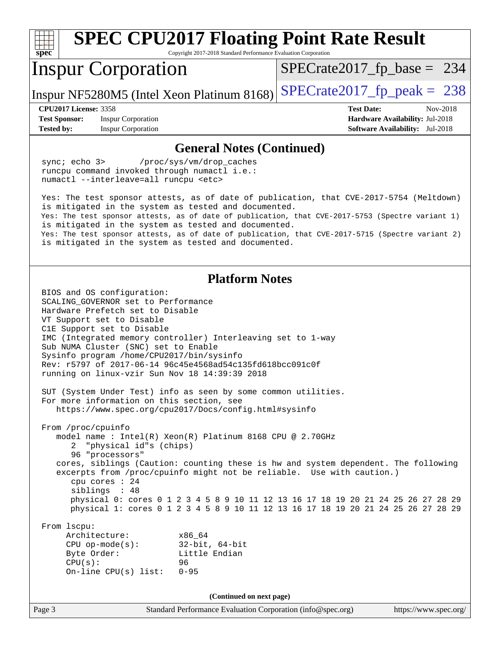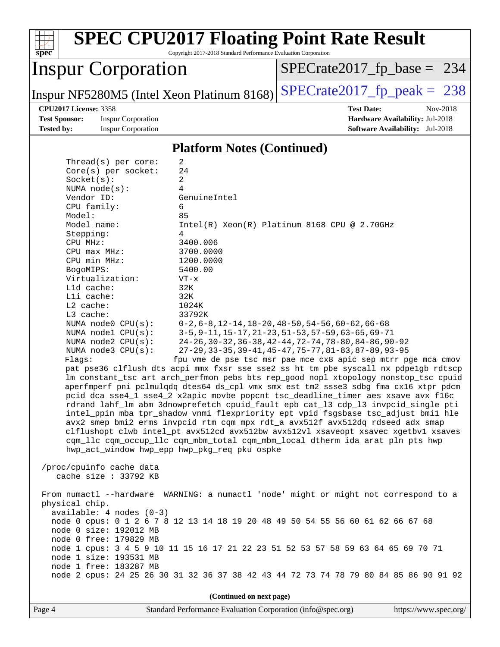| <b>SPEC CPU2017 Floating Point Rate Result</b><br>Copyright 2017-2018 Standard Performance Evaluation Corporation<br>$spec^*$                                                                                                                                                                                                                                                                                                                                                                                                                                                                                                                                                                                                                                                                                                                                                                                                                                                                                                                                                                                                                                                                                                                                                                                                                                                                             |                                                                                                                                                                                                                                                                                                                                                    |
|-----------------------------------------------------------------------------------------------------------------------------------------------------------------------------------------------------------------------------------------------------------------------------------------------------------------------------------------------------------------------------------------------------------------------------------------------------------------------------------------------------------------------------------------------------------------------------------------------------------------------------------------------------------------------------------------------------------------------------------------------------------------------------------------------------------------------------------------------------------------------------------------------------------------------------------------------------------------------------------------------------------------------------------------------------------------------------------------------------------------------------------------------------------------------------------------------------------------------------------------------------------------------------------------------------------------------------------------------------------------------------------------------------------|----------------------------------------------------------------------------------------------------------------------------------------------------------------------------------------------------------------------------------------------------------------------------------------------------------------------------------------------------|
| <b>Inspur Corporation</b>                                                                                                                                                                                                                                                                                                                                                                                                                                                                                                                                                                                                                                                                                                                                                                                                                                                                                                                                                                                                                                                                                                                                                                                                                                                                                                                                                                                 | $SPECrate2017_fp\_base = 234$                                                                                                                                                                                                                                                                                                                      |
| Inspur NF5280M5 (Intel Xeon Platinum 8168)                                                                                                                                                                                                                                                                                                                                                                                                                                                                                                                                                                                                                                                                                                                                                                                                                                                                                                                                                                                                                                                                                                                                                                                                                                                                                                                                                                | $SPECTate2017$ _fp_peak = 238                                                                                                                                                                                                                                                                                                                      |
| <b>CPU2017 License: 3358</b><br><b>Test Sponsor:</b><br><b>Inspur Corporation</b><br><b>Tested by:</b><br><b>Inspur Corporation</b>                                                                                                                                                                                                                                                                                                                                                                                                                                                                                                                                                                                                                                                                                                                                                                                                                                                                                                                                                                                                                                                                                                                                                                                                                                                                       | <b>Test Date:</b><br>Nov-2018<br>Hardware Availability: Jul-2018<br><b>Software Availability:</b> Jul-2018                                                                                                                                                                                                                                         |
| <b>Platform Notes (Continued)</b>                                                                                                                                                                                                                                                                                                                                                                                                                                                                                                                                                                                                                                                                                                                                                                                                                                                                                                                                                                                                                                                                                                                                                                                                                                                                                                                                                                         |                                                                                                                                                                                                                                                                                                                                                    |
| $\overline{a}$<br>Thread( $s$ ) per core:<br>24<br>Core(s) per socket:<br>2<br>Socket(s):<br>NUMA $node(s)$ :<br>4<br>Vendor ID:<br>GenuineIntel<br>CPU family:<br>6<br>Model:<br>85<br>Model name:<br>Stepping:<br>4<br>3400.006<br>CPU MHz:<br>3700.0000<br>$CPU$ max $MHz$ :<br>CPU min MHz:<br>1200.0000<br>5400.00<br>BogoMIPS:<br>Virtualization:<br>VT-x<br>Lld cache:<br>32K<br>Lli cache:<br>32K<br>L2 cache:<br>1024K<br>L3 cache:<br>33792K<br>NUMA node0 CPU(s):<br>NUMA nodel CPU(s):<br>NUMA $node2$ $CPU(s):$<br>NUMA node3 CPU(s):<br>Flagg:<br>pat pse36 clflush dts acpi mmx fxsr sse sse2 ss ht tm pbe syscall nx pdpe1gb rdtscp<br>lm constant_tsc art arch_perfmon pebs bts rep_good nopl xtopology nonstop_tsc cpuid<br>aperfmperf pni pclmulqdq dtes64 ds_cpl vmx smx est tm2 ssse3 sdbg fma cx16 xtpr pdcm<br>pcid dca sse4_1 sse4_2 x2apic movbe popcnt tsc_deadline_timer aes xsave avx f16c<br>rdrand lahf_lm abm 3dnowprefetch cpuid_fault epb cat_13 cdp_13 invpcid_single pti<br>intel_ppin mba tpr_shadow vnmi flexpriority ept vpid fsgsbase tsc_adjust bmil hle<br>avx2 smep bmi2 erms invpcid rtm cqm mpx rdt_a avx512f avx512dq rdseed adx smap<br>clflushopt clwb intel_pt avx512cd avx512bw avx512vl xsaveopt xsavec xgetbv1 xsaves<br>cqm_llc cqm_occup_llc cqm_mbm_total cqm_mbm_local dtherm ida arat pln pts hwp<br>hwp_act_window hwp_epp hwp_pkg_req pku ospke | $Intel(R) Xeon(R) Platinum 8168 CPU @ 2.70GHz$<br>$0-2, 6-8, 12-14, 18-20, 48-50, 54-56, 60-62, 66-68$<br>3-5, 9-11, 15-17, 21-23, 51-53, 57-59, 63-65, 69-71<br>24-26, 30-32, 36-38, 42-44, 72-74, 78-80, 84-86, 90-92<br>27-29, 33-35, 39-41, 45-47, 75-77, 81-83, 87-89, 93-95<br>fpu vme de pse tsc msr pae mce cx8 apic sep mtrr pge mca cmov |
| /proc/cpuinfo cache data<br>cache size : 33792 KB                                                                                                                                                                                                                                                                                                                                                                                                                                                                                                                                                                                                                                                                                                                                                                                                                                                                                                                                                                                                                                                                                                                                                                                                                                                                                                                                                         |                                                                                                                                                                                                                                                                                                                                                    |
| From numactl --hardware WARNING: a numactl 'node' might or might not correspond to a<br>physical chip.<br>$available: 4 nodes (0-3)$<br>node 0 cpus: 0 1 2 6 7 8 12 13 14 18 19 20 48 49 50 54 55 56 60 61 62 66 67 68<br>node 0 size: 192012 MB<br>node 0 free: 179829 MB<br>node 1 cpus: 3 4 5 9 10 11 15 16 17 21 22 23 51 52 53 57 58 59 63 64 65 69 70 71<br>node 1 size: 193531 MB<br>node 1 free: 183287 MB<br>node 2 cpus: 24 25 26 30 31 32 36 37 38 42 43 44 72 73 74 78 79 80 84 85 86 90 91 92                                                                                                                                                                                                                                                                                                                                                                                                                                                                                                                                                                                                                                                                                                                                                                                                                                                                                                |                                                                                                                                                                                                                                                                                                                                                    |
| (Continued on next page)<br>Standard Performance Evaluation Corporation (info@spec.org)<br>Page 4                                                                                                                                                                                                                                                                                                                                                                                                                                                                                                                                                                                                                                                                                                                                                                                                                                                                                                                                                                                                                                                                                                                                                                                                                                                                                                         | https://www.spec.org/                                                                                                                                                                                                                                                                                                                              |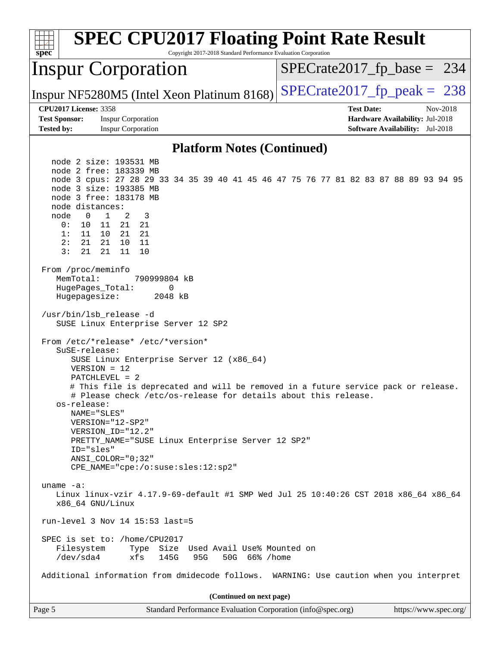| <b>SPEC CPU2017 Floating Point Rate Result</b><br>Copyright 2017-2018 Standard Performance Evaluation Corporation<br>$spec^*$                                                                                                                                                                                                                                                                                                      |                                                                                                     |  |  |  |
|------------------------------------------------------------------------------------------------------------------------------------------------------------------------------------------------------------------------------------------------------------------------------------------------------------------------------------------------------------------------------------------------------------------------------------|-----------------------------------------------------------------------------------------------------|--|--|--|
| <b>Inspur Corporation</b>                                                                                                                                                                                                                                                                                                                                                                                                          | $SPECrate2017_fp\_base = 234$                                                                       |  |  |  |
| Inspur NF5280M5 (Intel Xeon Platinum 8168)                                                                                                                                                                                                                                                                                                                                                                                         | $SPECrate2017_fp\_peak = 238$                                                                       |  |  |  |
| <b>CPU2017 License: 3358</b><br><b>Inspur Corporation</b><br><b>Test Sponsor:</b><br><b>Tested by:</b><br><b>Inspur Corporation</b>                                                                                                                                                                                                                                                                                                | <b>Test Date:</b><br>Nov-2018<br>Hardware Availability: Jul-2018<br>Software Availability: Jul-2018 |  |  |  |
| <b>Platform Notes (Continued)</b>                                                                                                                                                                                                                                                                                                                                                                                                  |                                                                                                     |  |  |  |
| node 2 size: 193531 MB<br>node 2 free: 183339 MB<br>node 3 cpus: 27 28 29 33 34 35 39 40 41 45 46 47 75 76 77 81 82 83 87 88 89 93 94 95<br>node 3 size: 193385 MB<br>node 3 free: 183178 MB<br>node distances:<br>$\mathbf{1}$<br>2<br>node<br>0<br>3<br>0 :<br>10<br>21<br>21<br>11<br>1:<br>11<br>10<br>21<br>21<br>21<br>21<br>11<br>2:<br>10<br>3:<br>21<br>21<br>11<br>10<br>From /proc/meminfo<br>MemTotal:<br>790999804 kB |                                                                                                     |  |  |  |
| HugePages_Total:<br>0<br>Hugepagesize:<br>2048 kB<br>/usr/bin/lsb_release -d<br>SUSE Linux Enterprise Server 12 SP2<br>From /etc/*release* /etc/*version*<br>SuSE-release:<br>SUSE Linux Enterprise Server 12 (x86_64)<br>$VERSION = 12$<br>$PATCHLEVEL = 2$                                                                                                                                                                       |                                                                                                     |  |  |  |
| # This file is deprecated and will be removed in a future service pack or release.<br># Please check /etc/os-release for details about this release.<br>os-release:<br>NAME="SLES"<br>VERSION="12-SP2"<br>VERSION_ID="12.2"<br>PRETTY_NAME="SUSE Linux Enterprise Server 12 SP2"<br>ID="sles"<br>$ANSI$ _COLOR=" $0:32$ "<br>CPE_NAME="cpe:/o:suse:sles:12:sp2"                                                                    |                                                                                                     |  |  |  |
| uname $-a$ :<br>Linux linux-vzir 4.17.9-69-default #1 SMP Wed Jul 25 10:40:26 CST 2018 x86_64 x86_64<br>x86_64 GNU/Linux                                                                                                                                                                                                                                                                                                           |                                                                                                     |  |  |  |
| run-level 3 Nov 14 15:53 last=5<br>SPEC is set to: /home/CPU2017<br>Size Used Avail Use% Mounted on<br>Filesystem<br>Type<br>/dev/sda4<br>xfs<br>145G<br>95G<br>50G 66% / home                                                                                                                                                                                                                                                     |                                                                                                     |  |  |  |
| Additional information from dmidecode follows. WARNING: Use caution when you interpret                                                                                                                                                                                                                                                                                                                                             |                                                                                                     |  |  |  |
| (Continued on next page)                                                                                                                                                                                                                                                                                                                                                                                                           |                                                                                                     |  |  |  |
| Page 5<br>Standard Performance Evaluation Corporation (info@spec.org)                                                                                                                                                                                                                                                                                                                                                              | https://www.spec.org/                                                                               |  |  |  |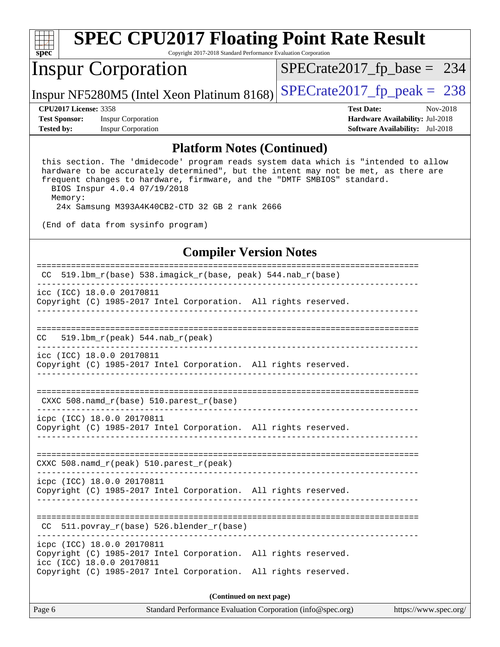

# **[SPEC CPU2017 Floating Point Rate Result](http://www.spec.org/auto/cpu2017/Docs/result-fields.html#SPECCPU2017FloatingPointRateResult)**

Copyright 2017-2018 Standard Performance Evaluation Corporation

## Inspur Corporation

[SPECrate2017\\_fp\\_base =](http://www.spec.org/auto/cpu2017/Docs/result-fields.html#SPECrate2017fpbase) 234

Inspur NF5280M5 (Intel Xeon Platinum 8168) [SPECrate2017\\_fp\\_peak =](http://www.spec.org/auto/cpu2017/Docs/result-fields.html#SPECrate2017fppeak)  $238$ 

**[Test Sponsor:](http://www.spec.org/auto/cpu2017/Docs/result-fields.html#TestSponsor)** Inspur Corporation **[Hardware Availability:](http://www.spec.org/auto/cpu2017/Docs/result-fields.html#HardwareAvailability)** Jul-2018 **[Tested by:](http://www.spec.org/auto/cpu2017/Docs/result-fields.html#Testedby)** Inspur Corporation **[Software Availability:](http://www.spec.org/auto/cpu2017/Docs/result-fields.html#SoftwareAvailability)** Jul-2018

**[CPU2017 License:](http://www.spec.org/auto/cpu2017/Docs/result-fields.html#CPU2017License)** 3358 **[Test Date:](http://www.spec.org/auto/cpu2017/Docs/result-fields.html#TestDate)** Nov-2018

#### **[Platform Notes \(Continued\)](http://www.spec.org/auto/cpu2017/Docs/result-fields.html#PlatformNotes)**

 this section. The 'dmidecode' program reads system data which is "intended to allow hardware to be accurately determined", but the intent may not be met, as there are frequent changes to hardware, firmware, and the "DMTF SMBIOS" standard. BIOS Inspur 4.0.4 07/19/2018 Memory:

24x Samsung M393A4K40CB2-CTD 32 GB 2 rank 2666

(End of data from sysinfo program)

#### **[Compiler Version Notes](http://www.spec.org/auto/cpu2017/Docs/result-fields.html#CompilerVersionNotes)**

| 519.1bm_r(base) 538.imagick_r(base, peak) 544.nab_r(base)<br>CC.                                                                                                                              |  |  |  |  |  |
|-----------------------------------------------------------------------------------------------------------------------------------------------------------------------------------------------|--|--|--|--|--|
| icc (ICC) 18.0.0 20170811<br>Copyright (C) 1985-2017 Intel Corporation. All rights reserved.                                                                                                  |  |  |  |  |  |
| 519.1bm $r(\text{peak})$ 544.nab $r(\text{peak})$<br>CC.                                                                                                                                      |  |  |  |  |  |
| icc (ICC) 18.0.0 20170811<br>Copyright (C) 1985-2017 Intel Corporation. All rights reserved.                                                                                                  |  |  |  |  |  |
| CXXC 508. namd $r(base)$ 510. parest $r(base)$                                                                                                                                                |  |  |  |  |  |
| icpc (ICC) 18.0.0 20170811<br>Copyright (C) 1985-2017 Intel Corporation. All rights reserved.                                                                                                 |  |  |  |  |  |
| CXXC 508.namd_r(peak) 510.parest_r(peak)                                                                                                                                                      |  |  |  |  |  |
| icpc (ICC) 18.0.0 20170811<br>Copyright (C) 1985-2017 Intel Corporation. All rights reserved.                                                                                                 |  |  |  |  |  |
| 511.povray_r(base) 526.blender_r(base)<br>CC.                                                                                                                                                 |  |  |  |  |  |
| icpc (ICC) 18.0.0 20170811<br>Copyright (C) 1985-2017 Intel Corporation. All rights reserved.<br>icc (ICC) 18.0.0 20170811<br>Copyright (C) 1985-2017 Intel Corporation. All rights reserved. |  |  |  |  |  |
| (Continued on next page)                                                                                                                                                                      |  |  |  |  |  |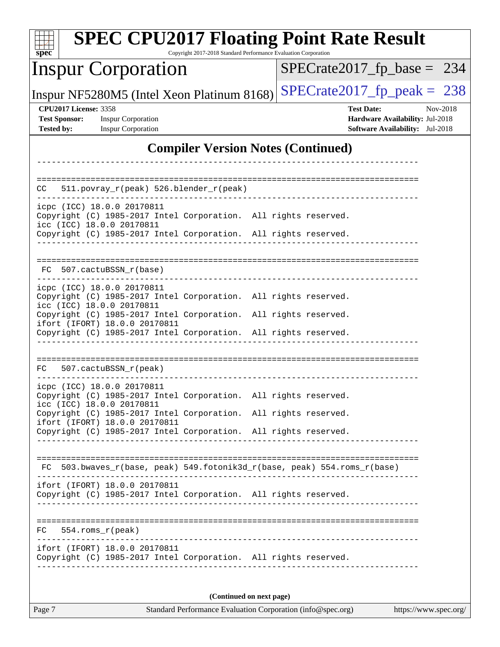| <b>SPEC CPU2017 Floating Point Rate Result</b><br>Copyright 2017-2018 Standard Performance Evaluation Corporation<br>$sp\overline{ec}$ |                                                                                                            |  |  |  |
|----------------------------------------------------------------------------------------------------------------------------------------|------------------------------------------------------------------------------------------------------------|--|--|--|
| <b>Inspur Corporation</b>                                                                                                              | $SPECrate2017_fp\_base = 234$                                                                              |  |  |  |
| Inspur NF5280M5 (Intel Xeon Platinum 8168)                                                                                             | $SPECTate2017$ _fp_peak = 238                                                                              |  |  |  |
| <b>CPU2017 License: 3358</b><br><b>Inspur Corporation</b><br><b>Test Sponsor:</b><br><b>Tested by:</b><br><b>Inspur Corporation</b>    | Nov-2018<br><b>Test Date:</b><br>Hardware Availability: Jul-2018<br><b>Software Availability:</b> Jul-2018 |  |  |  |
| <b>Compiler Version Notes (Continued)</b>                                                                                              |                                                                                                            |  |  |  |
|                                                                                                                                        |                                                                                                            |  |  |  |
| $511. povray_r (peak) 526. blender_r (peak)$<br>CC.                                                                                    |                                                                                                            |  |  |  |
| icpc (ICC) 18.0.0 20170811<br>Copyright (C) 1985-2017 Intel Corporation. All rights reserved.<br>icc (ICC) 18.0.0 20170811             |                                                                                                            |  |  |  |
| Copyright (C) 1985-2017 Intel Corporation. All rights reserved.                                                                        |                                                                                                            |  |  |  |
| 507.cactuBSSN_r(base)<br>FC.                                                                                                           |                                                                                                            |  |  |  |
| icpc (ICC) 18.0.0 20170811<br>Copyright (C) 1985-2017 Intel Corporation. All rights reserved.<br>icc (ICC) 18.0.0 20170811             |                                                                                                            |  |  |  |
| Copyright (C) 1985-2017 Intel Corporation. All rights reserved.<br>ifort (IFORT) 18.0.0 20170811                                       |                                                                                                            |  |  |  |
| Copyright (C) 1985-2017 Intel Corporation. All rights reserved.                                                                        |                                                                                                            |  |  |  |
| FC<br>507.cactuBSSN_r(peak)                                                                                                            |                                                                                                            |  |  |  |
| icpc (ICC) 18.0.0 20170811<br>Copyright (C) 1985-2017 Intel Corporation. All rights reserved.<br>icc (ICC) 18.0.0 20170811             |                                                                                                            |  |  |  |
| Copyright (C) 1985-2017 Intel Corporation. All rights reserved.<br>ifort (IFORT) 18.0.0 20170811                                       |                                                                                                            |  |  |  |
| Copyright (C) 1985-2017 Intel Corporation. All rights reserved.                                                                        |                                                                                                            |  |  |  |
| FC 503.bwaves_r(base, peak) 549.fotonik3d_r(base, peak) 554.roms_r(base)                                                               |                                                                                                            |  |  |  |
| ifort (IFORT) 18.0.0 20170811<br>Copyright (C) 1985-2017 Intel Corporation. All rights reserved.                                       |                                                                                                            |  |  |  |
| 554.roms_r(peak)<br>FC                                                                                                                 |                                                                                                            |  |  |  |
| ifort (IFORT) 18.0.0 20170811<br>Copyright (C) 1985-2017 Intel Corporation. All rights reserved.                                       |                                                                                                            |  |  |  |
| (Continued on next page)                                                                                                               |                                                                                                            |  |  |  |

Page 7 Standard Performance Evaluation Corporation [\(info@spec.org\)](mailto:info@spec.org) <https://www.spec.org/>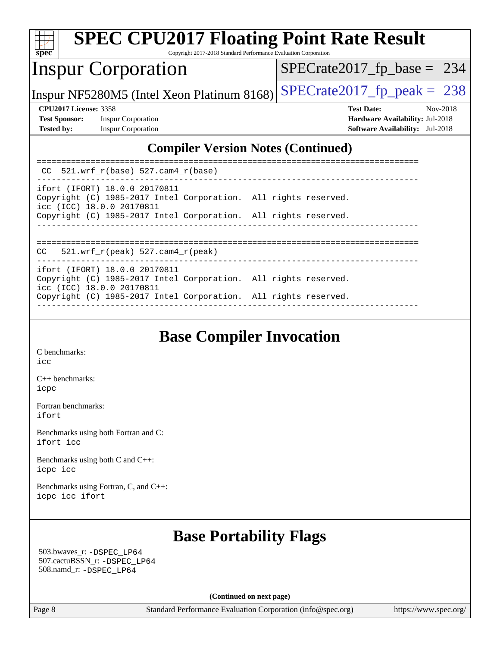|                                                                                          | <b>SPEC CPU2017 Floating Point Rate Result</b>                                                                                |                                        |  |  |
|------------------------------------------------------------------------------------------|-------------------------------------------------------------------------------------------------------------------------------|----------------------------------------|--|--|
| $spec^*$                                                                                 | Copyright 2017-2018 Standard Performance Evaluation Corporation                                                               |                                        |  |  |
|                                                                                          | <b>Inspur Corporation</b>                                                                                                     | $SPECrate2017_fp\_base = 234$          |  |  |
|                                                                                          | Inspur NF5280M5 (Intel Xeon Platinum 8168)                                                                                    | $SPECrate2017fp peak = 238$            |  |  |
|                                                                                          | <b>CPU2017 License: 3358</b>                                                                                                  | <b>Test Date:</b><br>Nov-2018          |  |  |
| <b>Test Sponsor:</b>                                                                     | <b>Inspur Corporation</b>                                                                                                     | <b>Hardware Availability: Jul-2018</b> |  |  |
| <b>Tested by:</b>                                                                        | <b>Inspur Corporation</b>                                                                                                     | <b>Software Availability:</b> Jul-2018 |  |  |
| <b>Compiler Version Notes (Continued)</b><br>521.wrf $r(base)$ 527.cam4 $r(base)$<br>CC. |                                                                                                                               |                                        |  |  |
|                                                                                          | ifort (IFORT) 18.0.0 20170811<br>Copyright (C) 1985-2017 Intel Corporation. All rights reserved.<br>icc (ICC) 18.0.0 20170811 |                                        |  |  |
|                                                                                          | Copyright (C) 1985-2017 Intel Corporation. All rights reserved.                                                               |                                        |  |  |

------------------------------------------------------------------------------ ============================================================================== CC 521.wrf\_r(peak) 527.cam4\_r(peak) ----------------------------------------------------------------------------- ifort (IFORT) 18.0.0 20170811 Copyright (C) 1985-2017 Intel Corporation. All rights reserved. icc (ICC) 18.0.0 20170811 Copyright (C) 1985-2017 Intel Corporation. All rights reserved. ------------------------------------------------------------------------------

## **[Base Compiler Invocation](http://www.spec.org/auto/cpu2017/Docs/result-fields.html#BaseCompilerInvocation)**

[C benchmarks](http://www.spec.org/auto/cpu2017/Docs/result-fields.html#Cbenchmarks): [icc](http://www.spec.org/cpu2017/results/res2018q4/cpu2017-20181126-09874.flags.html#user_CCbase_intel_icc_18.0_66fc1ee009f7361af1fbd72ca7dcefbb700085f36577c54f309893dd4ec40d12360134090235512931783d35fd58c0460139e722d5067c5574d8eaf2b3e37e92)

[C++ benchmarks:](http://www.spec.org/auto/cpu2017/Docs/result-fields.html#CXXbenchmarks) [icpc](http://www.spec.org/cpu2017/results/res2018q4/cpu2017-20181126-09874.flags.html#user_CXXbase_intel_icpc_18.0_c510b6838c7f56d33e37e94d029a35b4a7bccf4766a728ee175e80a419847e808290a9b78be685c44ab727ea267ec2f070ec5dc83b407c0218cded6866a35d07)

[Fortran benchmarks](http://www.spec.org/auto/cpu2017/Docs/result-fields.html#Fortranbenchmarks): [ifort](http://www.spec.org/cpu2017/results/res2018q4/cpu2017-20181126-09874.flags.html#user_FCbase_intel_ifort_18.0_8111460550e3ca792625aed983ce982f94888b8b503583aa7ba2b8303487b4d8a21a13e7191a45c5fd58ff318f48f9492884d4413fa793fd88dd292cad7027ca)

[Benchmarks using both Fortran and C](http://www.spec.org/auto/cpu2017/Docs/result-fields.html#BenchmarksusingbothFortranandC): [ifort](http://www.spec.org/cpu2017/results/res2018q4/cpu2017-20181126-09874.flags.html#user_CC_FCbase_intel_ifort_18.0_8111460550e3ca792625aed983ce982f94888b8b503583aa7ba2b8303487b4d8a21a13e7191a45c5fd58ff318f48f9492884d4413fa793fd88dd292cad7027ca) [icc](http://www.spec.org/cpu2017/results/res2018q4/cpu2017-20181126-09874.flags.html#user_CC_FCbase_intel_icc_18.0_66fc1ee009f7361af1fbd72ca7dcefbb700085f36577c54f309893dd4ec40d12360134090235512931783d35fd58c0460139e722d5067c5574d8eaf2b3e37e92)

[Benchmarks using both C and C++](http://www.spec.org/auto/cpu2017/Docs/result-fields.html#BenchmarksusingbothCandCXX): [icpc](http://www.spec.org/cpu2017/results/res2018q4/cpu2017-20181126-09874.flags.html#user_CC_CXXbase_intel_icpc_18.0_c510b6838c7f56d33e37e94d029a35b4a7bccf4766a728ee175e80a419847e808290a9b78be685c44ab727ea267ec2f070ec5dc83b407c0218cded6866a35d07) [icc](http://www.spec.org/cpu2017/results/res2018q4/cpu2017-20181126-09874.flags.html#user_CC_CXXbase_intel_icc_18.0_66fc1ee009f7361af1fbd72ca7dcefbb700085f36577c54f309893dd4ec40d12360134090235512931783d35fd58c0460139e722d5067c5574d8eaf2b3e37e92)

[Benchmarks using Fortran, C, and C++:](http://www.spec.org/auto/cpu2017/Docs/result-fields.html#BenchmarksusingFortranCandCXX) [icpc](http://www.spec.org/cpu2017/results/res2018q4/cpu2017-20181126-09874.flags.html#user_CC_CXX_FCbase_intel_icpc_18.0_c510b6838c7f56d33e37e94d029a35b4a7bccf4766a728ee175e80a419847e808290a9b78be685c44ab727ea267ec2f070ec5dc83b407c0218cded6866a35d07) [icc](http://www.spec.org/cpu2017/results/res2018q4/cpu2017-20181126-09874.flags.html#user_CC_CXX_FCbase_intel_icc_18.0_66fc1ee009f7361af1fbd72ca7dcefbb700085f36577c54f309893dd4ec40d12360134090235512931783d35fd58c0460139e722d5067c5574d8eaf2b3e37e92) [ifort](http://www.spec.org/cpu2017/results/res2018q4/cpu2017-20181126-09874.flags.html#user_CC_CXX_FCbase_intel_ifort_18.0_8111460550e3ca792625aed983ce982f94888b8b503583aa7ba2b8303487b4d8a21a13e7191a45c5fd58ff318f48f9492884d4413fa793fd88dd292cad7027ca)

#### **[Base Portability Flags](http://www.spec.org/auto/cpu2017/Docs/result-fields.html#BasePortabilityFlags)**

 503.bwaves\_r: [-DSPEC\\_LP64](http://www.spec.org/cpu2017/results/res2018q4/cpu2017-20181126-09874.flags.html#suite_basePORTABILITY503_bwaves_r_DSPEC_LP64) 507.cactuBSSN\_r: [-DSPEC\\_LP64](http://www.spec.org/cpu2017/results/res2018q4/cpu2017-20181126-09874.flags.html#suite_basePORTABILITY507_cactuBSSN_r_DSPEC_LP64) 508.namd\_r: [-DSPEC\\_LP64](http://www.spec.org/cpu2017/results/res2018q4/cpu2017-20181126-09874.flags.html#suite_basePORTABILITY508_namd_r_DSPEC_LP64)

**(Continued on next page)**

Page 8 Standard Performance Evaluation Corporation [\(info@spec.org\)](mailto:info@spec.org) <https://www.spec.org/>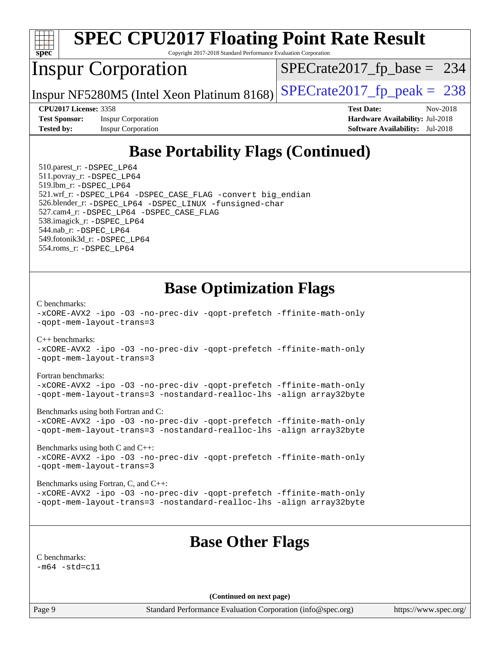

# **[SPEC CPU2017 Floating Point Rate Result](http://www.spec.org/auto/cpu2017/Docs/result-fields.html#SPECCPU2017FloatingPointRateResult)**

Copyright 2017-2018 Standard Performance Evaluation Corporation

## Inspur Corporation

 $SPECTate2017_fp\_base = 234$ 

Inspur NF5280M5 (Intel Xeon Platinum 8168) [SPECrate2017\\_fp\\_peak =](http://www.spec.org/auto/cpu2017/Docs/result-fields.html#SPECrate2017fppeak)  $238$ 

**[Test Sponsor:](http://www.spec.org/auto/cpu2017/Docs/result-fields.html#TestSponsor)** Inspur Corporation **[Hardware Availability:](http://www.spec.org/auto/cpu2017/Docs/result-fields.html#HardwareAvailability)** Jul-2018 **[Tested by:](http://www.spec.org/auto/cpu2017/Docs/result-fields.html#Testedby)** Inspur Corporation **[Software Availability:](http://www.spec.org/auto/cpu2017/Docs/result-fields.html#SoftwareAvailability)** Jul-2018

**[CPU2017 License:](http://www.spec.org/auto/cpu2017/Docs/result-fields.html#CPU2017License)** 3358 **[Test Date:](http://www.spec.org/auto/cpu2017/Docs/result-fields.html#TestDate)** Nov-2018

## **[Base Portability Flags \(Continued\)](http://www.spec.org/auto/cpu2017/Docs/result-fields.html#BasePortabilityFlags)**

 510.parest\_r: [-DSPEC\\_LP64](http://www.spec.org/cpu2017/results/res2018q4/cpu2017-20181126-09874.flags.html#suite_basePORTABILITY510_parest_r_DSPEC_LP64) 511.povray\_r: [-DSPEC\\_LP64](http://www.spec.org/cpu2017/results/res2018q4/cpu2017-20181126-09874.flags.html#suite_basePORTABILITY511_povray_r_DSPEC_LP64) 519.lbm\_r: [-DSPEC\\_LP64](http://www.spec.org/cpu2017/results/res2018q4/cpu2017-20181126-09874.flags.html#suite_basePORTABILITY519_lbm_r_DSPEC_LP64) 521.wrf\_r: [-DSPEC\\_LP64](http://www.spec.org/cpu2017/results/res2018q4/cpu2017-20181126-09874.flags.html#suite_basePORTABILITY521_wrf_r_DSPEC_LP64) [-DSPEC\\_CASE\\_FLAG](http://www.spec.org/cpu2017/results/res2018q4/cpu2017-20181126-09874.flags.html#b521.wrf_r_baseCPORTABILITY_DSPEC_CASE_FLAG) [-convert big\\_endian](http://www.spec.org/cpu2017/results/res2018q4/cpu2017-20181126-09874.flags.html#user_baseFPORTABILITY521_wrf_r_convert_big_endian_c3194028bc08c63ac5d04de18c48ce6d347e4e562e8892b8bdbdc0214820426deb8554edfa529a3fb25a586e65a3d812c835984020483e7e73212c4d31a38223) 526.blender\_r: [-DSPEC\\_LP64](http://www.spec.org/cpu2017/results/res2018q4/cpu2017-20181126-09874.flags.html#suite_basePORTABILITY526_blender_r_DSPEC_LP64) [-DSPEC\\_LINUX](http://www.spec.org/cpu2017/results/res2018q4/cpu2017-20181126-09874.flags.html#b526.blender_r_baseCPORTABILITY_DSPEC_LINUX) [-funsigned-char](http://www.spec.org/cpu2017/results/res2018q4/cpu2017-20181126-09874.flags.html#user_baseCPORTABILITY526_blender_r_force_uchar_40c60f00ab013830e2dd6774aeded3ff59883ba5a1fc5fc14077f794d777847726e2a5858cbc7672e36e1b067e7e5c1d9a74f7176df07886a243d7cc18edfe67) 527.cam4\_r: [-DSPEC\\_LP64](http://www.spec.org/cpu2017/results/res2018q4/cpu2017-20181126-09874.flags.html#suite_basePORTABILITY527_cam4_r_DSPEC_LP64) [-DSPEC\\_CASE\\_FLAG](http://www.spec.org/cpu2017/results/res2018q4/cpu2017-20181126-09874.flags.html#b527.cam4_r_baseCPORTABILITY_DSPEC_CASE_FLAG) 538.imagick\_r: [-DSPEC\\_LP64](http://www.spec.org/cpu2017/results/res2018q4/cpu2017-20181126-09874.flags.html#suite_basePORTABILITY538_imagick_r_DSPEC_LP64) 544.nab\_r: [-DSPEC\\_LP64](http://www.spec.org/cpu2017/results/res2018q4/cpu2017-20181126-09874.flags.html#suite_basePORTABILITY544_nab_r_DSPEC_LP64) 549.fotonik3d\_r: [-DSPEC\\_LP64](http://www.spec.org/cpu2017/results/res2018q4/cpu2017-20181126-09874.flags.html#suite_basePORTABILITY549_fotonik3d_r_DSPEC_LP64) 554.roms\_r: [-DSPEC\\_LP64](http://www.spec.org/cpu2017/results/res2018q4/cpu2017-20181126-09874.flags.html#suite_basePORTABILITY554_roms_r_DSPEC_LP64)

#### **[Base Optimization Flags](http://www.spec.org/auto/cpu2017/Docs/result-fields.html#BaseOptimizationFlags)**

[C benchmarks](http://www.spec.org/auto/cpu2017/Docs/result-fields.html#Cbenchmarks):

[-xCORE-AVX2](http://www.spec.org/cpu2017/results/res2018q4/cpu2017-20181126-09874.flags.html#user_CCbase_f-xCORE-AVX2) [-ipo](http://www.spec.org/cpu2017/results/res2018q4/cpu2017-20181126-09874.flags.html#user_CCbase_f-ipo) [-O3](http://www.spec.org/cpu2017/results/res2018q4/cpu2017-20181126-09874.flags.html#user_CCbase_f-O3) [-no-prec-div](http://www.spec.org/cpu2017/results/res2018q4/cpu2017-20181126-09874.flags.html#user_CCbase_f-no-prec-div) [-qopt-prefetch](http://www.spec.org/cpu2017/results/res2018q4/cpu2017-20181126-09874.flags.html#user_CCbase_f-qopt-prefetch) [-ffinite-math-only](http://www.spec.org/cpu2017/results/res2018q4/cpu2017-20181126-09874.flags.html#user_CCbase_f_finite_math_only_cb91587bd2077682c4b38af759c288ed7c732db004271a9512da14a4f8007909a5f1427ecbf1a0fb78ff2a814402c6114ac565ca162485bbcae155b5e4258871) [-qopt-mem-layout-trans=3](http://www.spec.org/cpu2017/results/res2018q4/cpu2017-20181126-09874.flags.html#user_CCbase_f-qopt-mem-layout-trans_de80db37974c74b1f0e20d883f0b675c88c3b01e9d123adea9b28688d64333345fb62bc4a798493513fdb68f60282f9a726aa07f478b2f7113531aecce732043) [C++ benchmarks:](http://www.spec.org/auto/cpu2017/Docs/result-fields.html#CXXbenchmarks) [-xCORE-AVX2](http://www.spec.org/cpu2017/results/res2018q4/cpu2017-20181126-09874.flags.html#user_CXXbase_f-xCORE-AVX2) [-ipo](http://www.spec.org/cpu2017/results/res2018q4/cpu2017-20181126-09874.flags.html#user_CXXbase_f-ipo) [-O3](http://www.spec.org/cpu2017/results/res2018q4/cpu2017-20181126-09874.flags.html#user_CXXbase_f-O3) [-no-prec-div](http://www.spec.org/cpu2017/results/res2018q4/cpu2017-20181126-09874.flags.html#user_CXXbase_f-no-prec-div) [-qopt-prefetch](http://www.spec.org/cpu2017/results/res2018q4/cpu2017-20181126-09874.flags.html#user_CXXbase_f-qopt-prefetch) [-ffinite-math-only](http://www.spec.org/cpu2017/results/res2018q4/cpu2017-20181126-09874.flags.html#user_CXXbase_f_finite_math_only_cb91587bd2077682c4b38af759c288ed7c732db004271a9512da14a4f8007909a5f1427ecbf1a0fb78ff2a814402c6114ac565ca162485bbcae155b5e4258871) [-qopt-mem-layout-trans=3](http://www.spec.org/cpu2017/results/res2018q4/cpu2017-20181126-09874.flags.html#user_CXXbase_f-qopt-mem-layout-trans_de80db37974c74b1f0e20d883f0b675c88c3b01e9d123adea9b28688d64333345fb62bc4a798493513fdb68f60282f9a726aa07f478b2f7113531aecce732043) [Fortran benchmarks](http://www.spec.org/auto/cpu2017/Docs/result-fields.html#Fortranbenchmarks): [-xCORE-AVX2](http://www.spec.org/cpu2017/results/res2018q4/cpu2017-20181126-09874.flags.html#user_FCbase_f-xCORE-AVX2) [-ipo](http://www.spec.org/cpu2017/results/res2018q4/cpu2017-20181126-09874.flags.html#user_FCbase_f-ipo) [-O3](http://www.spec.org/cpu2017/results/res2018q4/cpu2017-20181126-09874.flags.html#user_FCbase_f-O3) [-no-prec-div](http://www.spec.org/cpu2017/results/res2018q4/cpu2017-20181126-09874.flags.html#user_FCbase_f-no-prec-div) [-qopt-prefetch](http://www.spec.org/cpu2017/results/res2018q4/cpu2017-20181126-09874.flags.html#user_FCbase_f-qopt-prefetch) [-ffinite-math-only](http://www.spec.org/cpu2017/results/res2018q4/cpu2017-20181126-09874.flags.html#user_FCbase_f_finite_math_only_cb91587bd2077682c4b38af759c288ed7c732db004271a9512da14a4f8007909a5f1427ecbf1a0fb78ff2a814402c6114ac565ca162485bbcae155b5e4258871) [-qopt-mem-layout-trans=3](http://www.spec.org/cpu2017/results/res2018q4/cpu2017-20181126-09874.flags.html#user_FCbase_f-qopt-mem-layout-trans_de80db37974c74b1f0e20d883f0b675c88c3b01e9d123adea9b28688d64333345fb62bc4a798493513fdb68f60282f9a726aa07f478b2f7113531aecce732043) [-nostandard-realloc-lhs](http://www.spec.org/cpu2017/results/res2018q4/cpu2017-20181126-09874.flags.html#user_FCbase_f_2003_std_realloc_82b4557e90729c0f113870c07e44d33d6f5a304b4f63d4c15d2d0f1fab99f5daaed73bdb9275d9ae411527f28b936061aa8b9c8f2d63842963b95c9dd6426b8a) [-align array32byte](http://www.spec.org/cpu2017/results/res2018q4/cpu2017-20181126-09874.flags.html#user_FCbase_align_array32byte_b982fe038af199962ba9a80c053b8342c548c85b40b8e86eb3cc33dee0d7986a4af373ac2d51c3f7cf710a18d62fdce2948f201cd044323541f22fc0fffc51b6) [Benchmarks using both Fortran and C](http://www.spec.org/auto/cpu2017/Docs/result-fields.html#BenchmarksusingbothFortranandC): [-xCORE-AVX2](http://www.spec.org/cpu2017/results/res2018q4/cpu2017-20181126-09874.flags.html#user_CC_FCbase_f-xCORE-AVX2) [-ipo](http://www.spec.org/cpu2017/results/res2018q4/cpu2017-20181126-09874.flags.html#user_CC_FCbase_f-ipo) [-O3](http://www.spec.org/cpu2017/results/res2018q4/cpu2017-20181126-09874.flags.html#user_CC_FCbase_f-O3) [-no-prec-div](http://www.spec.org/cpu2017/results/res2018q4/cpu2017-20181126-09874.flags.html#user_CC_FCbase_f-no-prec-div) [-qopt-prefetch](http://www.spec.org/cpu2017/results/res2018q4/cpu2017-20181126-09874.flags.html#user_CC_FCbase_f-qopt-prefetch) [-ffinite-math-only](http://www.spec.org/cpu2017/results/res2018q4/cpu2017-20181126-09874.flags.html#user_CC_FCbase_f_finite_math_only_cb91587bd2077682c4b38af759c288ed7c732db004271a9512da14a4f8007909a5f1427ecbf1a0fb78ff2a814402c6114ac565ca162485bbcae155b5e4258871) [-qopt-mem-layout-trans=3](http://www.spec.org/cpu2017/results/res2018q4/cpu2017-20181126-09874.flags.html#user_CC_FCbase_f-qopt-mem-layout-trans_de80db37974c74b1f0e20d883f0b675c88c3b01e9d123adea9b28688d64333345fb62bc4a798493513fdb68f60282f9a726aa07f478b2f7113531aecce732043) [-nostandard-realloc-lhs](http://www.spec.org/cpu2017/results/res2018q4/cpu2017-20181126-09874.flags.html#user_CC_FCbase_f_2003_std_realloc_82b4557e90729c0f113870c07e44d33d6f5a304b4f63d4c15d2d0f1fab99f5daaed73bdb9275d9ae411527f28b936061aa8b9c8f2d63842963b95c9dd6426b8a) [-align array32byte](http://www.spec.org/cpu2017/results/res2018q4/cpu2017-20181126-09874.flags.html#user_CC_FCbase_align_array32byte_b982fe038af199962ba9a80c053b8342c548c85b40b8e86eb3cc33dee0d7986a4af373ac2d51c3f7cf710a18d62fdce2948f201cd044323541f22fc0fffc51b6) [Benchmarks using both C and C++](http://www.spec.org/auto/cpu2017/Docs/result-fields.html#BenchmarksusingbothCandCXX): [-xCORE-AVX2](http://www.spec.org/cpu2017/results/res2018q4/cpu2017-20181126-09874.flags.html#user_CC_CXXbase_f-xCORE-AVX2) [-ipo](http://www.spec.org/cpu2017/results/res2018q4/cpu2017-20181126-09874.flags.html#user_CC_CXXbase_f-ipo) [-O3](http://www.spec.org/cpu2017/results/res2018q4/cpu2017-20181126-09874.flags.html#user_CC_CXXbase_f-O3) [-no-prec-div](http://www.spec.org/cpu2017/results/res2018q4/cpu2017-20181126-09874.flags.html#user_CC_CXXbase_f-no-prec-div) [-qopt-prefetch](http://www.spec.org/cpu2017/results/res2018q4/cpu2017-20181126-09874.flags.html#user_CC_CXXbase_f-qopt-prefetch) [-ffinite-math-only](http://www.spec.org/cpu2017/results/res2018q4/cpu2017-20181126-09874.flags.html#user_CC_CXXbase_f_finite_math_only_cb91587bd2077682c4b38af759c288ed7c732db004271a9512da14a4f8007909a5f1427ecbf1a0fb78ff2a814402c6114ac565ca162485bbcae155b5e4258871) [-qopt-mem-layout-trans=3](http://www.spec.org/cpu2017/results/res2018q4/cpu2017-20181126-09874.flags.html#user_CC_CXXbase_f-qopt-mem-layout-trans_de80db37974c74b1f0e20d883f0b675c88c3b01e9d123adea9b28688d64333345fb62bc4a798493513fdb68f60282f9a726aa07f478b2f7113531aecce732043) [Benchmarks using Fortran, C, and C++:](http://www.spec.org/auto/cpu2017/Docs/result-fields.html#BenchmarksusingFortranCandCXX) [-xCORE-AVX2](http://www.spec.org/cpu2017/results/res2018q4/cpu2017-20181126-09874.flags.html#user_CC_CXX_FCbase_f-xCORE-AVX2) [-ipo](http://www.spec.org/cpu2017/results/res2018q4/cpu2017-20181126-09874.flags.html#user_CC_CXX_FCbase_f-ipo) [-O3](http://www.spec.org/cpu2017/results/res2018q4/cpu2017-20181126-09874.flags.html#user_CC_CXX_FCbase_f-O3) [-no-prec-div](http://www.spec.org/cpu2017/results/res2018q4/cpu2017-20181126-09874.flags.html#user_CC_CXX_FCbase_f-no-prec-div) [-qopt-prefetch](http://www.spec.org/cpu2017/results/res2018q4/cpu2017-20181126-09874.flags.html#user_CC_CXX_FCbase_f-qopt-prefetch) [-ffinite-math-only](http://www.spec.org/cpu2017/results/res2018q4/cpu2017-20181126-09874.flags.html#user_CC_CXX_FCbase_f_finite_math_only_cb91587bd2077682c4b38af759c288ed7c732db004271a9512da14a4f8007909a5f1427ecbf1a0fb78ff2a814402c6114ac565ca162485bbcae155b5e4258871) [-qopt-mem-layout-trans=3](http://www.spec.org/cpu2017/results/res2018q4/cpu2017-20181126-09874.flags.html#user_CC_CXX_FCbase_f-qopt-mem-layout-trans_de80db37974c74b1f0e20d883f0b675c88c3b01e9d123adea9b28688d64333345fb62bc4a798493513fdb68f60282f9a726aa07f478b2f7113531aecce732043) [-nostandard-realloc-lhs](http://www.spec.org/cpu2017/results/res2018q4/cpu2017-20181126-09874.flags.html#user_CC_CXX_FCbase_f_2003_std_realloc_82b4557e90729c0f113870c07e44d33d6f5a304b4f63d4c15d2d0f1fab99f5daaed73bdb9275d9ae411527f28b936061aa8b9c8f2d63842963b95c9dd6426b8a) [-align array32byte](http://www.spec.org/cpu2017/results/res2018q4/cpu2017-20181126-09874.flags.html#user_CC_CXX_FCbase_align_array32byte_b982fe038af199962ba9a80c053b8342c548c85b40b8e86eb3cc33dee0d7986a4af373ac2d51c3f7cf710a18d62fdce2948f201cd044323541f22fc0fffc51b6)

## **[Base Other Flags](http://www.spec.org/auto/cpu2017/Docs/result-fields.html#BaseOtherFlags)**

[C benchmarks](http://www.spec.org/auto/cpu2017/Docs/result-fields.html#Cbenchmarks):

 $-m64 - std= c11$  $-m64 - std= c11$ 

**(Continued on next page)**

Page 9 Standard Performance Evaluation Corporation [\(info@spec.org\)](mailto:info@spec.org) <https://www.spec.org/>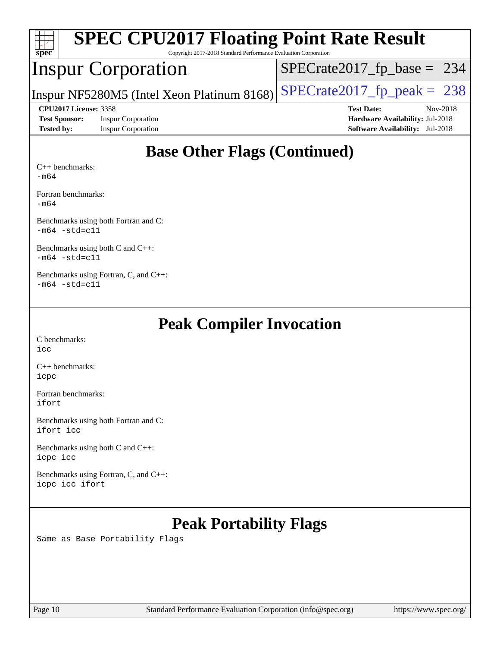| <b>SPEC CPU2017 Floating Point Rate Result</b><br>$\text{spec}^*$<br>Copyright 2017-2018 Standard Performance Evaluation Corporation |                                            |                                        |  |  |  |  |
|--------------------------------------------------------------------------------------------------------------------------------------|--------------------------------------------|----------------------------------------|--|--|--|--|
|                                                                                                                                      | <b>Inspur Corporation</b>                  | $SPECrate2017_fp\_base = 234$          |  |  |  |  |
|                                                                                                                                      | Inspur NF5280M5 (Intel Xeon Platinum 8168) | $SPECrate2017fp peak = 238$            |  |  |  |  |
| <b>CPU2017 License: 3358</b>                                                                                                         |                                            | <b>Test Date:</b><br>Nov-2018          |  |  |  |  |
| <b>Test Sponsor:</b>                                                                                                                 | <b>Inspur Corporation</b>                  | Hardware Availability: Jul-2018        |  |  |  |  |
| <b>Tested by:</b>                                                                                                                    | <b>Inspur Corporation</b>                  | <b>Software Availability:</b> Jul-2018 |  |  |  |  |
| $C_{++}$ benchmarks:<br>$-m64$                                                                                                       | <b>Base Other Flags (Continued)</b>        |                                        |  |  |  |  |

[Fortran benchmarks](http://www.spec.org/auto/cpu2017/Docs/result-fields.html#Fortranbenchmarks):

[-m64](http://www.spec.org/cpu2017/results/res2018q4/cpu2017-20181126-09874.flags.html#user_FCbase_intel_intel64_18.0_af43caccfc8ded86e7699f2159af6efc7655f51387b94da716254467f3c01020a5059329e2569e4053f409e7c9202a7efc638f7a6d1ffb3f52dea4a3e31d82ab)

[Benchmarks using both Fortran and C](http://www.spec.org/auto/cpu2017/Docs/result-fields.html#BenchmarksusingbothFortranandC): [-m64](http://www.spec.org/cpu2017/results/res2018q4/cpu2017-20181126-09874.flags.html#user_CC_FCbase_intel_intel64_18.0_af43caccfc8ded86e7699f2159af6efc7655f51387b94da716254467f3c01020a5059329e2569e4053f409e7c9202a7efc638f7a6d1ffb3f52dea4a3e31d82ab) [-std=c11](http://www.spec.org/cpu2017/results/res2018q4/cpu2017-20181126-09874.flags.html#user_CC_FCbase_intel_compiler_c11_mode_0e1c27790398a4642dfca32ffe6c27b5796f9c2d2676156f2e42c9c44eaad0c049b1cdb667a270c34d979996257aeb8fc440bfb01818dbc9357bd9d174cb8524)

[Benchmarks using both C and C++](http://www.spec.org/auto/cpu2017/Docs/result-fields.html#BenchmarksusingbothCandCXX): [-m64](http://www.spec.org/cpu2017/results/res2018q4/cpu2017-20181126-09874.flags.html#user_CC_CXXbase_intel_intel64_18.0_af43caccfc8ded86e7699f2159af6efc7655f51387b94da716254467f3c01020a5059329e2569e4053f409e7c9202a7efc638f7a6d1ffb3f52dea4a3e31d82ab) [-std=c11](http://www.spec.org/cpu2017/results/res2018q4/cpu2017-20181126-09874.flags.html#user_CC_CXXbase_intel_compiler_c11_mode_0e1c27790398a4642dfca32ffe6c27b5796f9c2d2676156f2e42c9c44eaad0c049b1cdb667a270c34d979996257aeb8fc440bfb01818dbc9357bd9d174cb8524)

[Benchmarks using Fortran, C, and C++:](http://www.spec.org/auto/cpu2017/Docs/result-fields.html#BenchmarksusingFortranCandCXX)  $-m64$   $-std=cl1$ 

#### **[Peak Compiler Invocation](http://www.spec.org/auto/cpu2017/Docs/result-fields.html#PeakCompilerInvocation)**

[C benchmarks](http://www.spec.org/auto/cpu2017/Docs/result-fields.html#Cbenchmarks): [icc](http://www.spec.org/cpu2017/results/res2018q4/cpu2017-20181126-09874.flags.html#user_CCpeak_intel_icc_18.0_66fc1ee009f7361af1fbd72ca7dcefbb700085f36577c54f309893dd4ec40d12360134090235512931783d35fd58c0460139e722d5067c5574d8eaf2b3e37e92)

[C++ benchmarks:](http://www.spec.org/auto/cpu2017/Docs/result-fields.html#CXXbenchmarks) [icpc](http://www.spec.org/cpu2017/results/res2018q4/cpu2017-20181126-09874.flags.html#user_CXXpeak_intel_icpc_18.0_c510b6838c7f56d33e37e94d029a35b4a7bccf4766a728ee175e80a419847e808290a9b78be685c44ab727ea267ec2f070ec5dc83b407c0218cded6866a35d07)

[Fortran benchmarks](http://www.spec.org/auto/cpu2017/Docs/result-fields.html#Fortranbenchmarks): [ifort](http://www.spec.org/cpu2017/results/res2018q4/cpu2017-20181126-09874.flags.html#user_FCpeak_intel_ifort_18.0_8111460550e3ca792625aed983ce982f94888b8b503583aa7ba2b8303487b4d8a21a13e7191a45c5fd58ff318f48f9492884d4413fa793fd88dd292cad7027ca)

[Benchmarks using both Fortran and C](http://www.spec.org/auto/cpu2017/Docs/result-fields.html#BenchmarksusingbothFortranandC): [ifort](http://www.spec.org/cpu2017/results/res2018q4/cpu2017-20181126-09874.flags.html#user_CC_FCpeak_intel_ifort_18.0_8111460550e3ca792625aed983ce982f94888b8b503583aa7ba2b8303487b4d8a21a13e7191a45c5fd58ff318f48f9492884d4413fa793fd88dd292cad7027ca) [icc](http://www.spec.org/cpu2017/results/res2018q4/cpu2017-20181126-09874.flags.html#user_CC_FCpeak_intel_icc_18.0_66fc1ee009f7361af1fbd72ca7dcefbb700085f36577c54f309893dd4ec40d12360134090235512931783d35fd58c0460139e722d5067c5574d8eaf2b3e37e92)

[Benchmarks using both C and C++](http://www.spec.org/auto/cpu2017/Docs/result-fields.html#BenchmarksusingbothCandCXX): [icpc](http://www.spec.org/cpu2017/results/res2018q4/cpu2017-20181126-09874.flags.html#user_CC_CXXpeak_intel_icpc_18.0_c510b6838c7f56d33e37e94d029a35b4a7bccf4766a728ee175e80a419847e808290a9b78be685c44ab727ea267ec2f070ec5dc83b407c0218cded6866a35d07) [icc](http://www.spec.org/cpu2017/results/res2018q4/cpu2017-20181126-09874.flags.html#user_CC_CXXpeak_intel_icc_18.0_66fc1ee009f7361af1fbd72ca7dcefbb700085f36577c54f309893dd4ec40d12360134090235512931783d35fd58c0460139e722d5067c5574d8eaf2b3e37e92)

[Benchmarks using Fortran, C, and C++:](http://www.spec.org/auto/cpu2017/Docs/result-fields.html#BenchmarksusingFortranCandCXX) [icpc](http://www.spec.org/cpu2017/results/res2018q4/cpu2017-20181126-09874.flags.html#user_CC_CXX_FCpeak_intel_icpc_18.0_c510b6838c7f56d33e37e94d029a35b4a7bccf4766a728ee175e80a419847e808290a9b78be685c44ab727ea267ec2f070ec5dc83b407c0218cded6866a35d07) [icc](http://www.spec.org/cpu2017/results/res2018q4/cpu2017-20181126-09874.flags.html#user_CC_CXX_FCpeak_intel_icc_18.0_66fc1ee009f7361af1fbd72ca7dcefbb700085f36577c54f309893dd4ec40d12360134090235512931783d35fd58c0460139e722d5067c5574d8eaf2b3e37e92) [ifort](http://www.spec.org/cpu2017/results/res2018q4/cpu2017-20181126-09874.flags.html#user_CC_CXX_FCpeak_intel_ifort_18.0_8111460550e3ca792625aed983ce982f94888b8b503583aa7ba2b8303487b4d8a21a13e7191a45c5fd58ff318f48f9492884d4413fa793fd88dd292cad7027ca)

## **[Peak Portability Flags](http://www.spec.org/auto/cpu2017/Docs/result-fields.html#PeakPortabilityFlags)**

Same as Base Portability Flags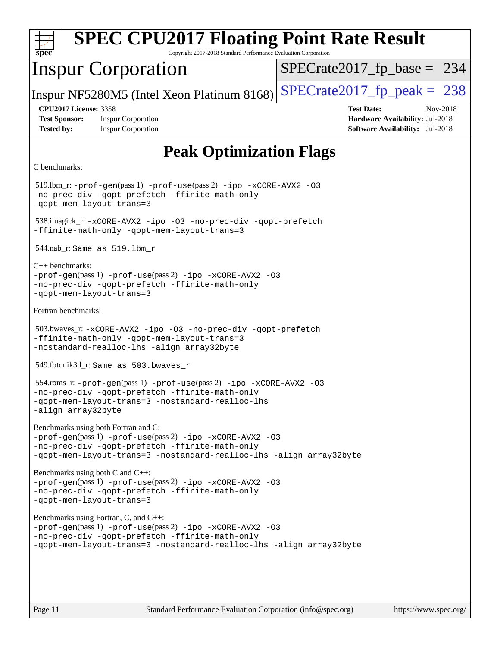| <b>SPEC CPU2017 Floating Point Rate Result</b><br>Copyright 2017-2018 Standard Performance Evaluation Corporation<br>spec <sup>®</sup>                                                                                     |                                                                                                            |  |  |  |
|----------------------------------------------------------------------------------------------------------------------------------------------------------------------------------------------------------------------------|------------------------------------------------------------------------------------------------------------|--|--|--|
| <b>Inspur Corporation</b>                                                                                                                                                                                                  | $SPECrate2017_fp\_base = 234$                                                                              |  |  |  |
| Inspur NF5280M5 (Intel Xeon Platinum 8168)                                                                                                                                                                                 | $SPECrate2017_fp\_peak = 238$                                                                              |  |  |  |
| <b>CPU2017 License: 3358</b><br><b>Test Sponsor:</b><br><b>Inspur Corporation</b><br><b>Tested by:</b><br><b>Inspur Corporation</b>                                                                                        | <b>Test Date:</b><br>Nov-2018<br>Hardware Availability: Jul-2018<br><b>Software Availability:</b> Jul-2018 |  |  |  |
| <b>Peak Optimization Flags</b>                                                                                                                                                                                             |                                                                                                            |  |  |  |
| C benchmarks:                                                                                                                                                                                                              |                                                                                                            |  |  |  |
| $519$ .lbm_r: -prof-gen(pass 1) -prof-use(pass 2) -ipo -xCORE-AVX2 -03<br>-no-prec-div -qopt-prefetch -ffinite-math-only<br>-gopt-mem-layout-trans=3                                                                       |                                                                                                            |  |  |  |
| 538.imagick_r: -xCORE-AVX2 -ipo -03 -no-prec-div -qopt-prefetch<br>-ffinite-math-only -qopt-mem-layout-trans=3                                                                                                             |                                                                                                            |  |  |  |
| $544.nab_r$ : Same as $519.lbm_r$                                                                                                                                                                                          |                                                                                                            |  |  |  |
| $C++$ benchmarks:<br>$-prof-gen(pass 1) -prof-use(pass 2) -ipo -xCORE-AVX2 -O3$<br>-no-prec-div -qopt-prefetch -ffinite-math-only<br>-qopt-mem-layout-trans=3                                                              |                                                                                                            |  |  |  |
| Fortran benchmarks:                                                                                                                                                                                                        |                                                                                                            |  |  |  |
| 503.bwaves_r: -xCORE-AVX2 -ipo -03 -no-prec-div -qopt-prefetch<br>-ffinite-math-only -qopt-mem-layout-trans=3<br>-nostandard-realloc-lhs -align array32byte                                                                |                                                                                                            |  |  |  |
| 549.fotonik3d_r: Same as 503.bwaves_r                                                                                                                                                                                      |                                                                                                            |  |  |  |
| 554.roms_r: -prof-gen(pass 1) -prof-use(pass 2) -ipo -xCORE-AVX2 -03<br>-no-prec-div -qopt-prefetch -ffinite-math-only<br>-gopt-mem-layout-trans=3 -nostandard-realloc-lhs<br>-align array32byte                           |                                                                                                            |  |  |  |
| Benchmarks using both Fortran and C:<br>-prof-gen(pass 1) -prof-use(pass 2) -ipo -xCORE-AVX2 -03<br>-no-prec-div -qopt-prefetch -ffinite-math-only<br>-qopt-mem-layout-trans=3 -nostandard-realloc-lhs -align array32byte  |                                                                                                            |  |  |  |
| Benchmarks using both C and C++:<br>-prof-gen(pass 1) -prof-use(pass 2) -ipo -xCORE-AVX2 -03<br>-no-prec-div -qopt-prefetch -ffinite-math-only<br>-gopt-mem-layout-trans=3                                                 |                                                                                                            |  |  |  |
| Benchmarks using Fortran, C, and C++:<br>-prof-gen(pass 1) -prof-use(pass 2) -ipo -xCORE-AVX2 -03<br>-no-prec-div -qopt-prefetch -ffinite-math-only<br>-qopt-mem-layout-trans=3 -nostandard-realloc-lhs -align array32byte |                                                                                                            |  |  |  |
|                                                                                                                                                                                                                            |                                                                                                            |  |  |  |
| Standard Performance Evaluation Corporation (info@spec.org)<br>Page 11                                                                                                                                                     | https://www.spec.org/                                                                                      |  |  |  |